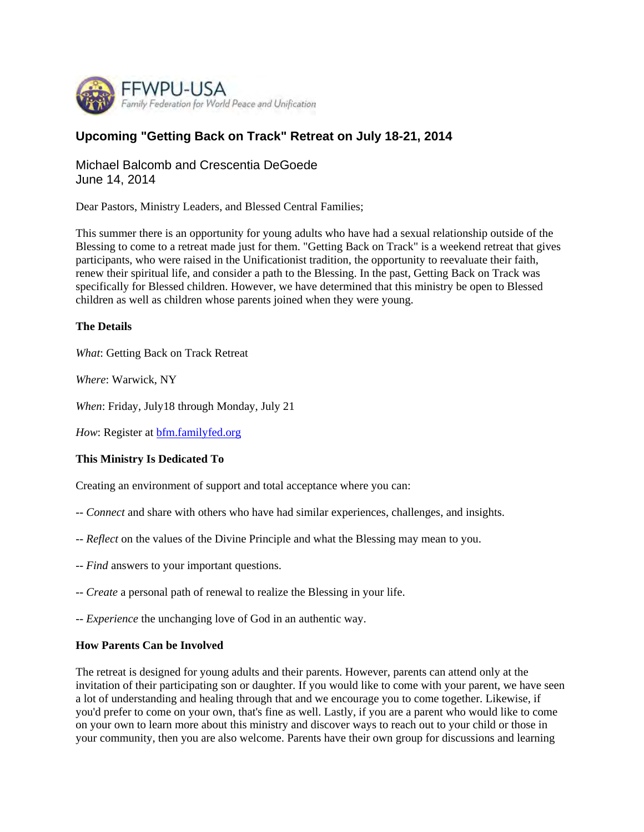

# **Upcoming "Getting Back on Track" Retreat on July 18-21, 2014**

Michael Balcomb and Crescentia DeGoede June 14, 2014

Dear Pastors, Ministry Leaders, and Blessed Central Families;

This summer there is an opportunity for young adults who have had a sexual relationship outside of the Blessing to come to a retreat made just for them. "Getting Back on Track" is a weekend retreat that gives participants, who were raised in the Unificationist tradition, the opportunity to reevaluate their faith, renew their spiritual life, and consider a path to the Blessing. In the past, Getting Back on Track was specifically for Blessed children. However, we have determined that this ministry be open to Blessed children as well as children whose parents joined when they were young.

## **The Details**

*What*: Getting Back on Track Retreat

*Where*: Warwick, NY

*When*: Friday, July18 through Monday, July 21

*How*: Register at **bfm.familyfed.org** 

## **This Ministry Is Dedicated To**

Creating an environment of support and total acceptance where you can:

- -- *Connect* and share with others who have had similar experiences, challenges, and insights.
- -- *Reflect* on the values of the Divine Principle and what the Blessing may mean to you.
- -- *Find* answers to your important questions.
- -- *Create* a personal path of renewal to realize the Blessing in your life.
- -- *Experience* the unchanging love of God in an authentic way.

#### **How Parents Can be Involved**

The retreat is designed for young adults and their parents. However, parents can attend only at the invitation of their participating son or daughter. If you would like to come with your parent, we have seen a lot of understanding and healing through that and we encourage you to come together. Likewise, if you'd prefer to come on your own, that's fine as well. Lastly, if you are a parent who would like to come on your own to learn more about this ministry and discover ways to reach out to your child or those in your community, then you are also welcome. Parents have their own group for discussions and learning